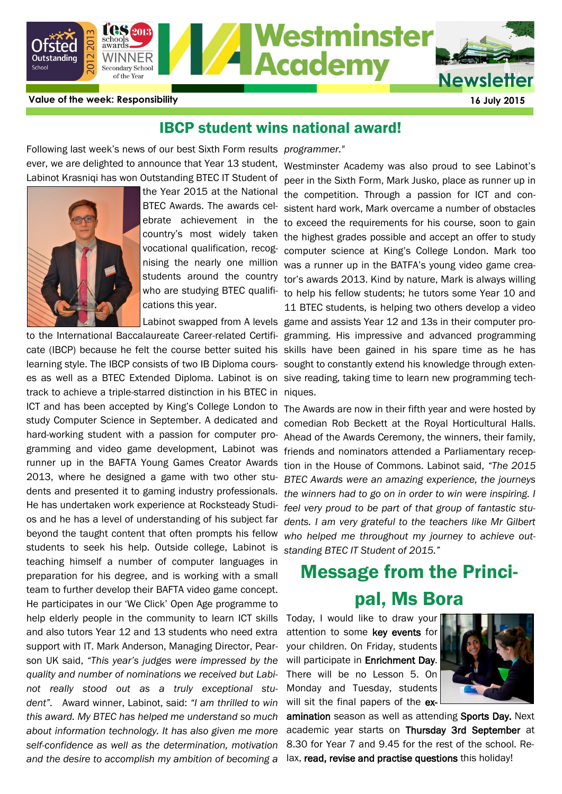

**Value of the week: Responsibility 16 July 2015**

### IBCP student wins national award!

Following last week's news of our best Sixth Form results *programmer."*  ever, we are delighted to announce that Year 13 student, Westminster Academy was also proud to see Labinot's Labinot Krasniqi has won Outstanding BTEC IT Student of



the Year 2015 at the National BTEC Awards. The awards celcountry's most widely taken nising the nearly one million students around the country who are studying BTEC qualifications this year.

learning style. The IBCP consists of two IB Diploma cours- sought to constantly extend his knowledge through extenes as well as a BTEC Extended Diploma. Labinot is on sive reading, taking time to learn new programming techtrack to achieve a triple-starred distinction in his BTEC in niques. ICT and has been accepted by King's College London to study Computer Science in September. A dedicated and gramming and video game development, Labinot was 2013, where he designed a game with two other students and presented it to gaming industry professionals. He has undertaken work experience at Rocksteady Studios and he has a level of understanding of his subject far beyond the taught content that often prompts his fellow students to seek his help. Outside college, Labinot is teaching himself a number of computer languages in preparation for his degree, and is working with a small team to further develop their BAFTA video game concept. He participates in our 'We Click' Open Age programme to help elderly people in the community to learn ICT skills and also tutors Year 12 and 13 students who need extra support with IT. Mark Anderson, Managing Director, Pearson UK said, *"This year's judges were impressed by the quality and number of nominations we received but Labinot really stood out as a truly exceptional student".* Award winner, Labinot, said: *"I am thrilled to win this award. My BTEC has helped me understand so much about information technology. It has also given me more self-confidence as well as the determination, motivation and the desire to accomplish my ambition of becoming a* 

ebrate achievement in the to exceed the requirements for his course, soon to gain vocational qualification, recog- computer science at King's College London. Mark too Labinot swapped from A levels game and assists Year 12 and 13s in their computer proto the International Baccalaureate Career-related Certifi-gramming. His impressive and advanced programming cate (IBCP) because he felt the course better suited his skills have been gained in his spare time as he has peer in the Sixth Form, Mark Jusko, place as runner up in the competition. Through a passion for ICT and consistent hard work, Mark overcame a number of obstacles the highest grades possible and accept an offer to study was a runner up in the BATFA's young video game creator's awards 2013. Kind by nature, Mark is always willing to help his fellow students; he tutors some Year 10 and 11 BTEC students, is helping two others develop a video

hard-working student with a passion for computer pro-Ahead of the Awards Ceremony, the winners, their family, runner up in the BAFTA Young Games Creator Awards tion in the House of Commons. Labinot said, "The 2015 The Awards are now in their fifth year and were hosted by comedian Rob Beckett at the Royal Horticultural Halls. friends and nominators attended a Parliamentary recep-*BTEC Awards were an amazing experience, the journeys the winners had to go on in order to win were inspiring. I feel very proud to be part of that group of fantastic students. I am very grateful to the teachers like Mr Gilbert who helped me throughout my journey to achieve outstanding BTEC IT Student of 2015."*

# Message from the Principal, Ms Bora

Today, I would like to draw your attention to some key events for your children. On Friday, students will participate in **Enrichment Day.** There will be no Lesson 5. On Monday and Tuesday, students will sit the final papers of the ex-



amination season as well as attending Sports Day. Next academic year starts on Thursday 3rd September at 8.30 for Year 7 and 9.45 for the rest of the school. Relax, read, revise and practise questions this holiday!